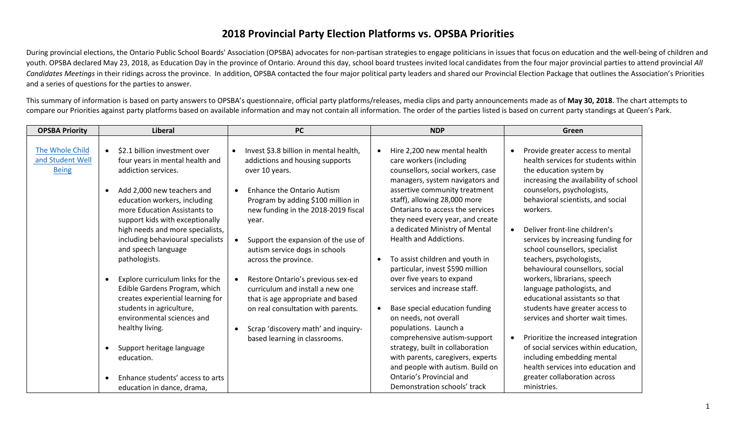## **2018 Provincial Party Election Platforms vs. OPSBA Priorities**

During provincial elections, the Ontario Public School Boards' Association (OPSBA) advocates for non-partisan strategies to engage politicians in issues that focus on education and the well-being of children and youth. OPSBA declared May 23, 2018, as Education Day in the province of Ontario. Around this day, school board trustees invited local candidates from the four major provincial parties to attend provincial *All Candidates Meetings* in their ridings across the province. In addition, OPSBA contacted the four major political party leaders and shared our Provincial Election Package that outlines the Association's Priorities and a series of questions for the parties to answer.

This summary of information is based on party answers to OPSBA's questionnaire, official party platforms/releases, media clips and party announcements made as of **May 30, 2018**. The chart attempts to compare our Priorities against party platforms based on available information and may not contain all information. The order of the parties listed is based on current party standings at Queen's Park.

| <b>OPSBA Priority</b>                               | <b>Liberal</b>                                                                                                                                                                | <b>PC</b>                                                                                                                                        | <b>NDP</b>                                                                                                                                                                                                                     | Green                                                                                                                                                                                           |
|-----------------------------------------------------|-------------------------------------------------------------------------------------------------------------------------------------------------------------------------------|--------------------------------------------------------------------------------------------------------------------------------------------------|--------------------------------------------------------------------------------------------------------------------------------------------------------------------------------------------------------------------------------|-------------------------------------------------------------------------------------------------------------------------------------------------------------------------------------------------|
| The Whole Child<br>and Student Well<br><b>Being</b> | \$2.1 billion investment over<br>$\bullet$<br>four years in mental health and<br>addiction services.                                                                          | Invest \$3.8 billion in mental health,<br>addictions and housing supports<br>over 10 years.                                                      | Hire 2,200 new mental health<br>care workers (including<br>counsellors, social workers, case<br>managers, system navigators and                                                                                                | Provide greater access to mental<br>health services for students within<br>the education system by<br>increasing the availability of school                                                     |
|                                                     | Add 2,000 new teachers and<br>$\bullet$<br>education workers, including<br>more Education Assistants to<br>support kids with exceptionally                                    | <b>Enhance the Ontario Autism</b><br>Program by adding \$100 million in<br>new funding in the 2018-2019 fiscal<br>year.                          | assertive community treatment<br>staff), allowing 28,000 more<br>Ontarians to access the services<br>they need every year, and create                                                                                          | counselors, psychologists,<br>behavioral scientists, and social<br>workers.                                                                                                                     |
|                                                     | high needs and more specialists,<br>including behavioural specialists<br>and speech language<br>pathologists.                                                                 | Support the expansion of the use of<br>autism service dogs in schools<br>across the province.                                                    | a dedicated Ministry of Mental<br><b>Health and Addictions.</b><br>To assist children and youth in<br>particular, invest \$590 million                                                                                         | Deliver front-line children's<br>services by increasing funding for<br>school counsellors, specialist<br>teachers, psychologists,<br>behavioural counsellors, social                            |
|                                                     | Explore curriculum links for the<br>$\bullet$<br>Edible Gardens Program, which<br>creates experiential learning for<br>students in agriculture,<br>environmental sciences and | Restore Ontario's previous sex-ed<br>curriculum and install a new one<br>that is age appropriate and based<br>on real consultation with parents. | over five years to expand<br>services and increase staff.<br>Base special education funding<br>on needs, not overall                                                                                                           | workers, librarians, speech<br>language pathologists, and<br>educational assistants so that<br>students have greater access to<br>services and shorter wait times.                              |
|                                                     | healthy living.<br>Support heritage language<br>$\bullet$<br>education.<br>Enhance students' access to arts<br>$\bullet$<br>education in dance, drama,                        | Scrap 'discovery math' and inquiry-<br>based learning in classrooms.                                                                             | populations. Launch a<br>comprehensive autism-support<br>strategy, built in collaboration<br>with parents, caregivers, experts<br>and people with autism. Build on<br>Ontario's Provincial and<br>Demonstration schools' track | Prioritize the increased integration<br>of social services within education,<br>including embedding mental<br>health services into education and<br>greater collaboration across<br>ministries. |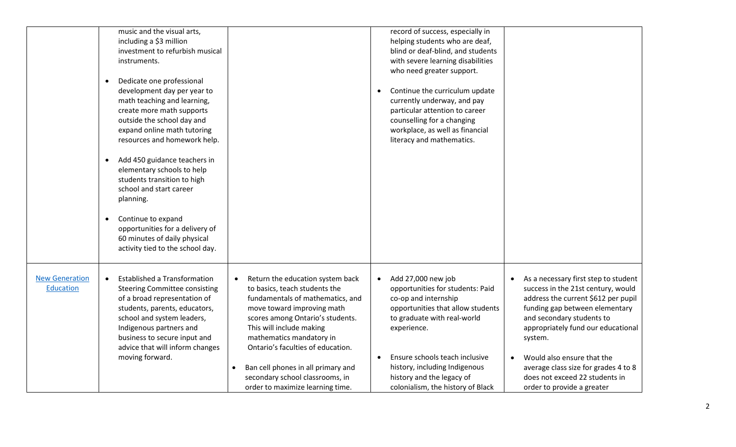|                       | music and the visual arts,                       |                                                 | record of success, especially in            |                                                   |
|-----------------------|--------------------------------------------------|-------------------------------------------------|---------------------------------------------|---------------------------------------------------|
|                       | including a \$3 million                          |                                                 | helping students who are deaf,              |                                                   |
|                       | investment to refurbish musical                  |                                                 | blind or deaf-blind, and students           |                                                   |
|                       | instruments.                                     |                                                 | with severe learning disabilities           |                                                   |
|                       |                                                  |                                                 | who need greater support.                   |                                                   |
|                       | Dedicate one professional<br>$\bullet$           |                                                 |                                             |                                                   |
|                       | development day per year to                      |                                                 | Continue the curriculum update              |                                                   |
|                       | math teaching and learning,                      |                                                 | currently underway, and pay                 |                                                   |
|                       | create more math supports                        |                                                 | particular attention to career              |                                                   |
|                       | outside the school day and                       |                                                 | counselling for a changing                  |                                                   |
|                       | expand online math tutoring                      |                                                 | workplace, as well as financial             |                                                   |
|                       | resources and homework help.                     |                                                 | literacy and mathematics.                   |                                                   |
|                       |                                                  |                                                 |                                             |                                                   |
|                       | Add 450 guidance teachers in<br>$\bullet$        |                                                 |                                             |                                                   |
|                       | elementary schools to help                       |                                                 |                                             |                                                   |
|                       | students transition to high                      |                                                 |                                             |                                                   |
|                       | school and start career                          |                                                 |                                             |                                                   |
|                       | planning.                                        |                                                 |                                             |                                                   |
|                       |                                                  |                                                 |                                             |                                                   |
|                       | Continue to expand<br>$\bullet$                  |                                                 |                                             |                                                   |
|                       | opportunities for a delivery of                  |                                                 |                                             |                                                   |
|                       | 60 minutes of daily physical                     |                                                 |                                             |                                                   |
|                       | activity tied to the school day.                 |                                                 |                                             |                                                   |
|                       |                                                  |                                                 |                                             |                                                   |
|                       |                                                  |                                                 |                                             |                                                   |
| <b>New Generation</b> | <b>Established a Transformation</b><br>$\bullet$ | Return the education system back<br>$\bullet$   | Add 27,000 new job<br>$\bullet$             | As a necessary first step to student<br>$\bullet$ |
| <b>Education</b>      | <b>Steering Committee consisting</b>             | to basics, teach students the                   | opportunities for students: Paid            | success in the 21st century, would                |
|                       | of a broad representation of                     | fundamentals of mathematics, and                | co-op and internship                        | address the current \$612 per pupil               |
|                       | students, parents, educators,                    | move toward improving math                      | opportunities that allow students           | funding gap between elementary                    |
|                       | school and system leaders,                       | scores among Ontario's students.                | to graduate with real-world                 | and secondary students to                         |
|                       | Indigenous partners and                          | This will include making                        | experience.                                 | appropriately fund our educational                |
|                       | business to secure input and                     | mathematics mandatory in                        |                                             | system.                                           |
|                       | advice that will inform changes                  | Ontario's faculties of education.               |                                             |                                                   |
|                       | moving forward.                                  |                                                 | Ensure schools teach inclusive<br>$\bullet$ | Would also ensure that the<br>$\bullet$           |
|                       |                                                  | Ban cell phones in all primary and<br>$\bullet$ | history, including Indigenous               | average class size for grades 4 to 8              |
|                       |                                                  | secondary school classrooms, in                 | history and the legacy of                   | does not exceed 22 students in                    |
|                       |                                                  | order to maximize learning time.                | colonialism, the history of Black           | order to provide a greater                        |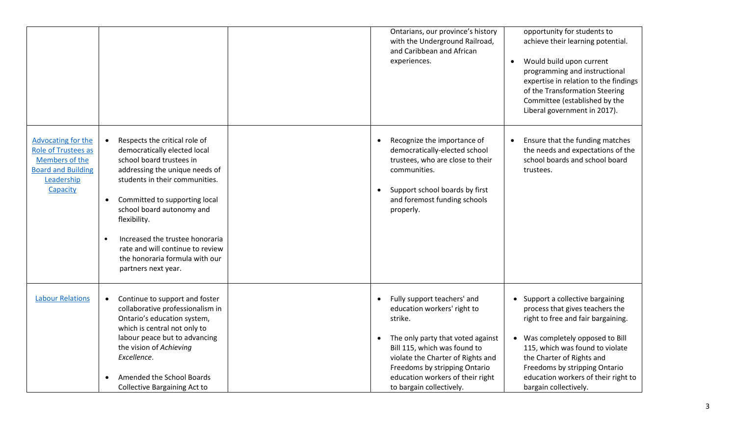|                                                                                                                           |                                                                                                                                                                                                                                                                                                                                                                             | Ontarians, our province's history<br>with the Underground Railroad,<br>and Caribbean and African<br>experiences.                                                                                                                                                                                           | opportunity for students to<br>achieve their learning potential.<br>Would build upon current<br>$\bullet$<br>programming and instructional<br>expertise in relation to the findings<br>of the Transformation Steering<br>Committee (established by the<br>Liberal government in 2017).                        |
|---------------------------------------------------------------------------------------------------------------------------|-----------------------------------------------------------------------------------------------------------------------------------------------------------------------------------------------------------------------------------------------------------------------------------------------------------------------------------------------------------------------------|------------------------------------------------------------------------------------------------------------------------------------------------------------------------------------------------------------------------------------------------------------------------------------------------------------|---------------------------------------------------------------------------------------------------------------------------------------------------------------------------------------------------------------------------------------------------------------------------------------------------------------|
| Advocating for the<br><b>Role of Trustees as</b><br>Members of the<br><b>Board and Building</b><br>Leadership<br>Capacity | Respects the critical role of<br>democratically elected local<br>school board trustees in<br>addressing the unique needs of<br>students in their communities.<br>Committed to supporting local<br>school board autonomy and<br>flexibility.<br>Increased the trustee honoraria<br>rate and will continue to review<br>the honoraria formula with our<br>partners next year. | Recognize the importance of<br>$\bullet$<br>democratically-elected school<br>trustees, who are close to their<br>communities.<br>Support school boards by first<br>$\bullet$<br>and foremost funding schools<br>properly.                                                                                  | Ensure that the funding matches<br>the needs and expectations of the<br>school boards and school board<br>trustees.                                                                                                                                                                                           |
| <b>Labour Relations</b>                                                                                                   | Continue to support and foster<br>$\bullet$<br>collaborative professionalism in<br>Ontario's education system,<br>which is central not only to<br>labour peace but to advancing<br>the vision of Achieving<br>Excellence.<br>Amended the School Boards<br><b>Collective Bargaining Act to</b>                                                                               | Fully support teachers' and<br>$\bullet$<br>education workers' right to<br>strike.<br>The only party that voted against<br>$\bullet$<br>Bill 115, which was found to<br>violate the Charter of Rights and<br>Freedoms by stripping Ontario<br>education workers of their right<br>to bargain collectively. | • Support a collective bargaining<br>process that gives teachers the<br>right to free and fair bargaining.<br>Was completely opposed to Bill<br>115, which was found to violate<br>the Charter of Rights and<br>Freedoms by stripping Ontario<br>education workers of their right to<br>bargain collectively. |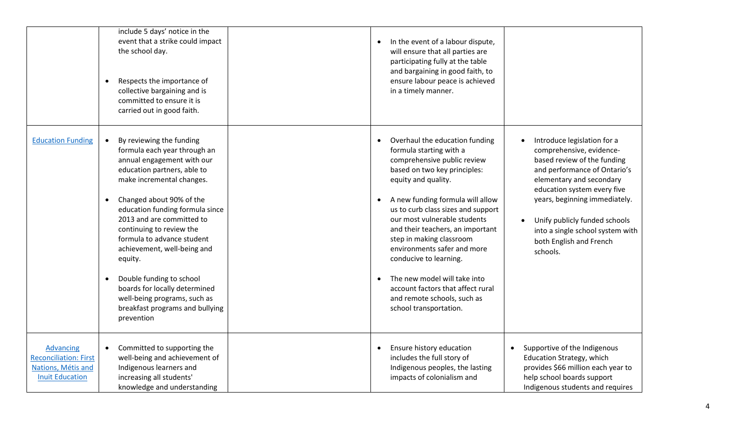|                                                                                                  | include 5 days' notice in the<br>event that a strike could impact<br>the school day.<br>Respects the importance of<br>collective bargaining and is<br>committed to ensure it is<br>carried out in good faith.                                                                                                                                                                                                                                                                                                                           | In the event of a labour dispute,<br>will ensure that all parties are<br>participating fully at the table<br>and bargaining in good faith, to<br>ensure labour peace is achieved<br>in a timely manner.                                                                                                                                                                                                                                                                                                          |                                                                                                                                                                                                                                                                                                                                |
|--------------------------------------------------------------------------------------------------|-----------------------------------------------------------------------------------------------------------------------------------------------------------------------------------------------------------------------------------------------------------------------------------------------------------------------------------------------------------------------------------------------------------------------------------------------------------------------------------------------------------------------------------------|------------------------------------------------------------------------------------------------------------------------------------------------------------------------------------------------------------------------------------------------------------------------------------------------------------------------------------------------------------------------------------------------------------------------------------------------------------------------------------------------------------------|--------------------------------------------------------------------------------------------------------------------------------------------------------------------------------------------------------------------------------------------------------------------------------------------------------------------------------|
| <b>Education Funding</b>                                                                         | By reviewing the funding<br>$\bullet$<br>formula each year through an<br>annual engagement with our<br>education partners, able to<br>make incremental changes.<br>Changed about 90% of the<br>$\bullet$<br>education funding formula since<br>2013 and are committed to<br>continuing to review the<br>formula to advance student<br>achievement, well-being and<br>equity.<br>Double funding to school<br>$\bullet$<br>boards for locally determined<br>well-being programs, such as<br>breakfast programs and bullying<br>prevention | Overhaul the education funding<br>formula starting with a<br>comprehensive public review<br>based on two key principles:<br>equity and quality.<br>A new funding formula will allow<br>us to curb class sizes and support<br>our most vulnerable students<br>and their teachers, an important<br>step in making classroom<br>environments safer and more<br>conducive to learning.<br>The new model will take into<br>account factors that affect rural<br>and remote schools, such as<br>school transportation. | Introduce legislation for a<br>comprehensive, evidence-<br>based review of the funding<br>and performance of Ontario's<br>elementary and secondary<br>education system every five<br>years, beginning immediately.<br>Unify publicly funded schools<br>into a single school system with<br>both English and French<br>schools. |
| <b>Advancing</b><br><b>Reconciliation: First</b><br>Nations, Métis and<br><b>Inuit Education</b> | Committed to supporting the<br>$\bullet$<br>well-being and achievement of<br>Indigenous learners and<br>increasing all students'<br>knowledge and understanding                                                                                                                                                                                                                                                                                                                                                                         | Ensure history education<br>includes the full story of<br>Indigenous peoples, the lasting<br>impacts of colonialism and                                                                                                                                                                                                                                                                                                                                                                                          | Supportive of the Indigenous<br>Education Strategy, which<br>provides \$66 million each year to<br>help school boards support<br>Indigenous students and requires                                                                                                                                                              |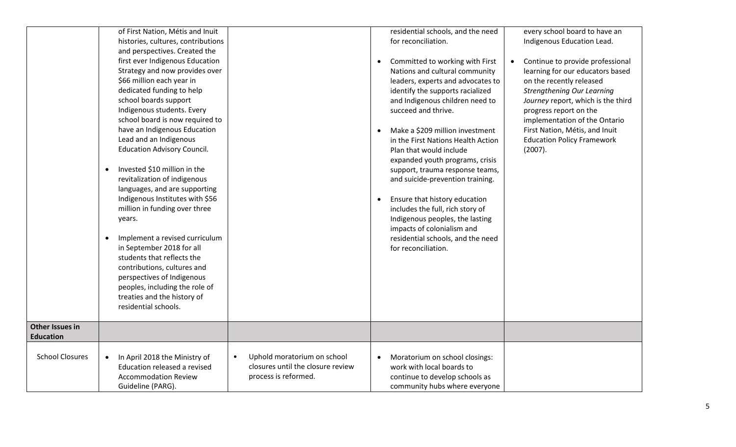|                        | of First Nation, Métis and Inuit<br>histories, cultures, contributions<br>and perspectives. Created the<br>first ever Indigenous Education<br>Strategy and now provides over<br>\$66 million each year in<br>dedicated funding to help<br>school boards support<br>Indigenous students. Every<br>school board is now required to<br>have an Indigenous Education<br>Lead and an Indigenous<br><b>Education Advisory Council.</b><br>Invested \$10 million in the<br>$\bullet$<br>revitalization of indigenous<br>languages, and are supporting<br>Indigenous Institutes with \$56<br>million in funding over three<br>years.<br>Implement a revised curriculum<br>$\bullet$<br>in September 2018 for all<br>students that reflects the<br>contributions, cultures and<br>perspectives of Indigenous<br>peoples, including the role of<br>treaties and the history of<br>residential schools. |                                                                                                       | residential schools, and the need<br>for reconciliation.<br>Committed to working with First<br>$\bullet$<br>Nations and cultural community<br>leaders, experts and advocates to<br>identify the supports racialized<br>and Indigenous children need to<br>succeed and thrive.<br>Make a \$209 million investment<br>in the First Nations Health Action<br>Plan that would include<br>expanded youth programs, crisis<br>support, trauma response teams,<br>and suicide-prevention training.<br>Ensure that history education<br>includes the full, rich story of<br>Indigenous peoples, the lasting<br>impacts of colonialism and<br>residential schools, and the need<br>for reconciliation. | every school board to have an<br>Indigenous Education Lead.<br>Continue to provide professional<br>$\bullet$<br>learning for our educators based<br>on the recently released<br><b>Strengthening Our Learning</b><br>Journey report, which is the third<br>progress report on the<br>implementation of the Ontario<br>First Nation, Métis, and Inuit<br><b>Education Policy Framework</b><br>(2007). |
|------------------------|----------------------------------------------------------------------------------------------------------------------------------------------------------------------------------------------------------------------------------------------------------------------------------------------------------------------------------------------------------------------------------------------------------------------------------------------------------------------------------------------------------------------------------------------------------------------------------------------------------------------------------------------------------------------------------------------------------------------------------------------------------------------------------------------------------------------------------------------------------------------------------------------|-------------------------------------------------------------------------------------------------------|-----------------------------------------------------------------------------------------------------------------------------------------------------------------------------------------------------------------------------------------------------------------------------------------------------------------------------------------------------------------------------------------------------------------------------------------------------------------------------------------------------------------------------------------------------------------------------------------------------------------------------------------------------------------------------------------------|------------------------------------------------------------------------------------------------------------------------------------------------------------------------------------------------------------------------------------------------------------------------------------------------------------------------------------------------------------------------------------------------------|
| <b>Other Issues in</b> |                                                                                                                                                                                                                                                                                                                                                                                                                                                                                                                                                                                                                                                                                                                                                                                                                                                                                              |                                                                                                       |                                                                                                                                                                                                                                                                                                                                                                                                                                                                                                                                                                                                                                                                                               |                                                                                                                                                                                                                                                                                                                                                                                                      |
| <b>Education</b>       |                                                                                                                                                                                                                                                                                                                                                                                                                                                                                                                                                                                                                                                                                                                                                                                                                                                                                              |                                                                                                       |                                                                                                                                                                                                                                                                                                                                                                                                                                                                                                                                                                                                                                                                                               |                                                                                                                                                                                                                                                                                                                                                                                                      |
| <b>School Closures</b> | In April 2018 the Ministry of<br>$\bullet$<br>Education released a revised<br><b>Accommodation Review</b><br>Guideline (PARG).                                                                                                                                                                                                                                                                                                                                                                                                                                                                                                                                                                                                                                                                                                                                                               | Uphold moratorium on school<br>$\bullet$<br>closures until the closure review<br>process is reformed. | Moratorium on school closings:<br>$\bullet$<br>work with local boards to<br>continue to develop schools as<br>community hubs where everyone                                                                                                                                                                                                                                                                                                                                                                                                                                                                                                                                                   |                                                                                                                                                                                                                                                                                                                                                                                                      |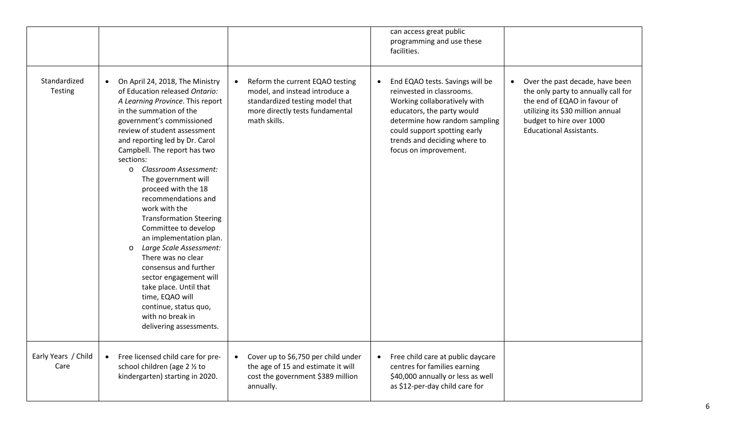|                             |                                                                                                                                                                                                                                                                                                                                                                                                                                                                                                                                                                                                                                                                                                                                     |                                                                                                                                                                      | can access great public<br>programming and use these<br>facilities.                                                                                                                                                                                               |                                                                                                                                                                                                           |
|-----------------------------|-------------------------------------------------------------------------------------------------------------------------------------------------------------------------------------------------------------------------------------------------------------------------------------------------------------------------------------------------------------------------------------------------------------------------------------------------------------------------------------------------------------------------------------------------------------------------------------------------------------------------------------------------------------------------------------------------------------------------------------|----------------------------------------------------------------------------------------------------------------------------------------------------------------------|-------------------------------------------------------------------------------------------------------------------------------------------------------------------------------------------------------------------------------------------------------------------|-----------------------------------------------------------------------------------------------------------------------------------------------------------------------------------------------------------|
| Standardized<br>Testing     | On April 24, 2018, The Ministry<br>$\bullet$<br>of Education released Ontario:<br>A Learning Province. This report<br>in the summation of the<br>government's commissioned<br>review of student assessment<br>and reporting led by Dr. Carol<br>Campbell. The report has two<br>sections:<br>o Classroom Assessment:<br>The government will<br>proceed with the 18<br>recommendations and<br>work with the<br><b>Transformation Steering</b><br>Committee to develop<br>an implementation plan.<br>Large Scale Assessment:<br>$\circ$<br>There was no clear<br>consensus and further<br>sector engagement will<br>take place. Until that<br>time, EQAO will<br>continue, status quo,<br>with no break in<br>delivering assessments. | Reform the current EQAO testing<br>$\bullet$<br>model, and instead introduce a<br>standardized testing model that<br>more directly tests fundamental<br>math skills. | End EQAO tests. Savings will be<br>$\bullet$<br>reinvested in classrooms.<br>Working collaboratively with<br>educators, the party would<br>determine how random sampling<br>could support spotting early<br>trends and deciding where to<br>focus on improvement. | Over the past decade, have been<br>the only party to annually call for<br>the end of EQAO in favour of<br>utilizing its \$30 million annual<br>budget to hire over 1000<br><b>Educational Assistants.</b> |
| Early Years / Child<br>Care | Free licensed child care for pre-<br>$\bullet$<br>school children (age 2 1/2 to<br>kindergarten) starting in 2020.                                                                                                                                                                                                                                                                                                                                                                                                                                                                                                                                                                                                                  | Cover up to \$6,750 per child under<br>$\bullet$<br>the age of 15 and estimate it will<br>cost the government \$389 million<br>annually.                             | Free child care at public daycare<br>$\bullet$<br>centres for families earning<br>\$40,000 annually or less as well<br>as \$12-per-day child care for                                                                                                             |                                                                                                                                                                                                           |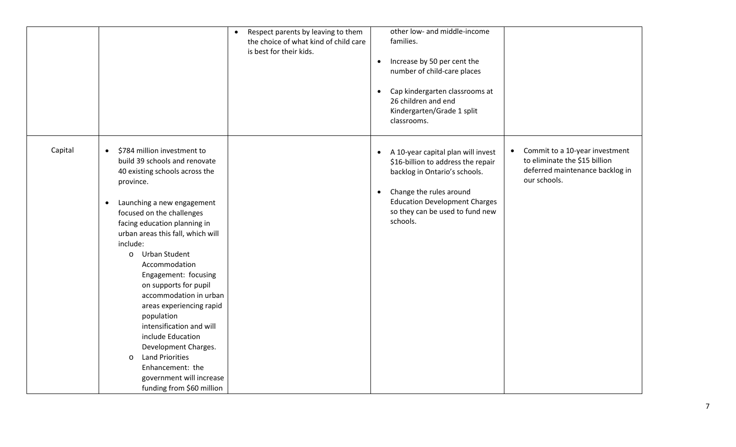|         |                                                                                                                                                                                                                                                                                                                                                                                                                                                                                                                                                                                                                                                       | Respect parents by leaving to them<br>$\bullet$<br>the choice of what kind of child care<br>is best for their kids. | other low- and middle-income<br>families.<br>Increase by 50 per cent the<br>$\bullet$<br>number of child-care places<br>Cap kindergarten classrooms at<br>$\bullet$<br>26 children and end<br>Kindergarten/Grade 1 split<br>classrooms.               |                                                                                                                    |
|---------|-------------------------------------------------------------------------------------------------------------------------------------------------------------------------------------------------------------------------------------------------------------------------------------------------------------------------------------------------------------------------------------------------------------------------------------------------------------------------------------------------------------------------------------------------------------------------------------------------------------------------------------------------------|---------------------------------------------------------------------------------------------------------------------|-------------------------------------------------------------------------------------------------------------------------------------------------------------------------------------------------------------------------------------------------------|--------------------------------------------------------------------------------------------------------------------|
| Capital | \$784 million investment to<br>$\bullet$<br>build 39 schools and renovate<br>40 existing schools across the<br>province.<br>Launching a new engagement<br>$\bullet$<br>focused on the challenges<br>facing education planning in<br>urban areas this fall, which will<br>include:<br><b>Urban Student</b><br>$\circ$<br>Accommodation<br>Engagement: focusing<br>on supports for pupil<br>accommodation in urban<br>areas experiencing rapid<br>population<br>intensification and will<br>include Education<br>Development Charges.<br><b>Land Priorities</b><br>$\circ$<br>Enhancement: the<br>government will increase<br>funding from \$60 million |                                                                                                                     | A 10-year capital plan will invest<br>$\bullet$<br>\$16-billion to address the repair<br>backlog in Ontario's schools.<br>Change the rules around<br>$\bullet$<br><b>Education Development Charges</b><br>so they can be used to fund new<br>schools. | Commit to a 10-year investment<br>to eliminate the \$15 billion<br>deferred maintenance backlog in<br>our schools. |